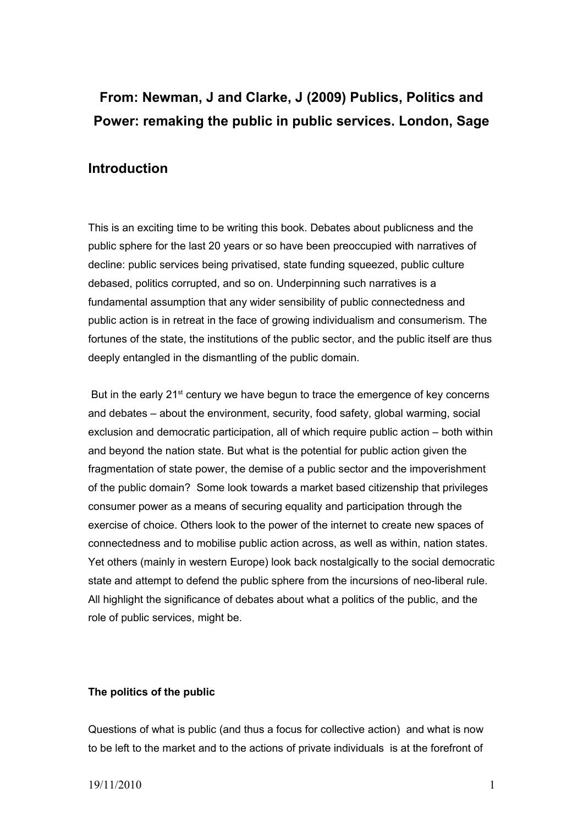# **From: Newman, J and Clarke, J (2009) Publics, Politics and Power: remaking the public in public services. London, Sage**

## **Introduction**

This is an exciting time to be writing this book. Debates about publicness and the public sphere for the last 20 years or so have been preoccupied with narratives of decline: public services being privatised, state funding squeezed, public culture debased, politics corrupted, and so on. Underpinning such narratives is a fundamental assumption that any wider sensibility of public connectedness and public action is in retreat in the face of growing individualism and consumerism. The fortunes of the state, the institutions of the public sector, and the public itself are thus deeply entangled in the dismantling of the public domain.

But in the early 21<sup>st</sup> century we have begun to trace the emergence of key concerns and debates – about the environment, security, food safety, global warming, social exclusion and democratic participation, all of which require public action – both within and beyond the nation state. But what is the potential for public action given the fragmentation of state power, the demise of a public sector and the impoverishment of the public domain? Some look towards a market based citizenship that privileges consumer power as a means of securing equality and participation through the exercise of choice. Others look to the power of the internet to create new spaces of connectedness and to mobilise public action across, as well as within, nation states. Yet others (mainly in western Europe) look back nostalgically to the social democratic state and attempt to defend the public sphere from the incursions of neo-liberal rule. All highlight the significance of debates about what a politics of the public, and the role of public services, might be.

### **The politics of the public**

Questions of what is public (and thus a focus for collective action) and what is now to be left to the market and to the actions of private individuals is at the forefront of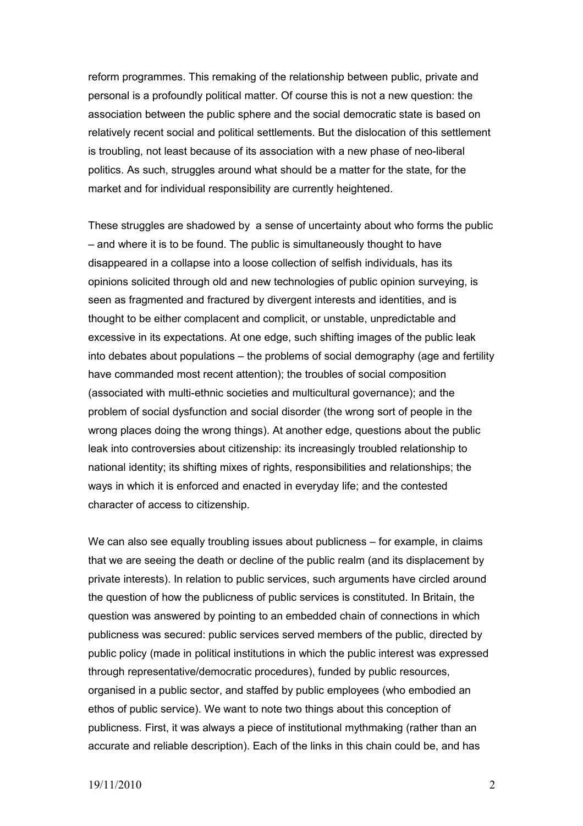reform programmes. This remaking of the relationship between public, private and personal is a profoundly political matter. Of course this is not a new question: the association between the public sphere and the social democratic state is based on relatively recent social and political settlements. But the dislocation of this settlement is troubling, not least because of its association with a new phase of neo-liberal politics. As such, struggles around what should be a matter for the state, for the market and for individual responsibility are currently heightened.

These struggles are shadowed by a sense of uncertainty about who forms the public – and where it is to be found. The public is simultaneously thought to have disappeared in a collapse into a loose collection of selfish individuals, has its opinions solicited through old and new technologies of public opinion surveying, is seen as fragmented and fractured by divergent interests and identities, and is thought to be either complacent and complicit, or unstable, unpredictable and excessive in its expectations. At one edge, such shifting images of the public leak into debates about populations – the problems of social demography (age and fertility have commanded most recent attention); the troubles of social composition (associated with multi-ethnic societies and multicultural governance); and the problem of social dysfunction and social disorder (the wrong sort of people in the wrong places doing the wrong things). At another edge, questions about the public leak into controversies about citizenship: its increasingly troubled relationship to national identity; its shifting mixes of rights, responsibilities and relationships; the ways in which it is enforced and enacted in everyday life; and the contested character of access to citizenship.

We can also see equally troubling issues about publicness – for example, in claims that we are seeing the death or decline of the public realm (and its displacement by private interests). In relation to public services, such arguments have circled around the question of how the publicness of public services is constituted. In Britain, the question was answered by pointing to an embedded chain of connections in which publicness was secured: public services served members of the public, directed by public policy (made in political institutions in which the public interest was expressed through representative/democratic procedures), funded by public resources, organised in a public sector, and staffed by public employees (who embodied an ethos of public service). We want to note two things about this conception of publicness. First, it was always a piece of institutional mythmaking (rather than an accurate and reliable description). Each of the links in this chain could be, and has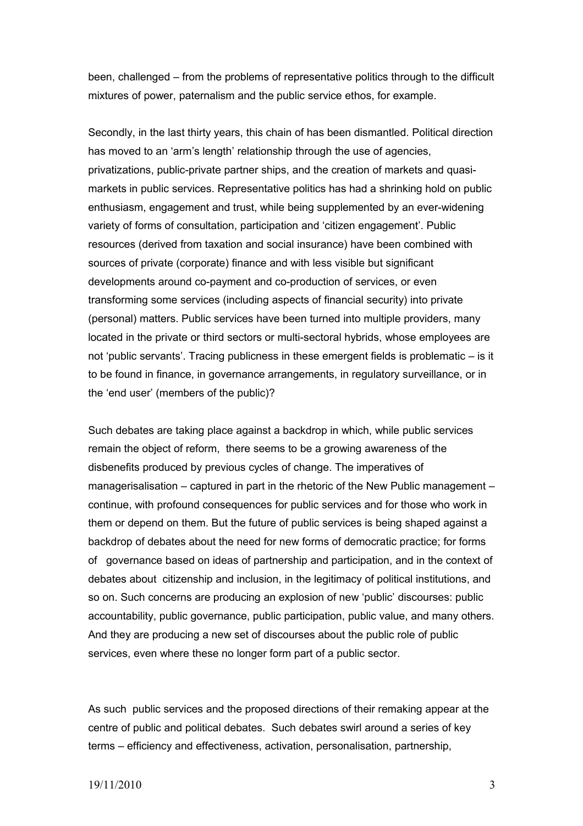been, challenged – from the problems of representative politics through to the difficult mixtures of power, paternalism and the public service ethos, for example.

Secondly, in the last thirty years, this chain of has been dismantled. Political direction has moved to an 'arm's length' relationship through the use of agencies, privatizations, public-private partner ships, and the creation of markets and quasimarkets in public services. Representative politics has had a shrinking hold on public enthusiasm, engagement and trust, while being supplemented by an ever-widening variety of forms of consultation, participation and 'citizen engagement'. Public resources (derived from taxation and social insurance) have been combined with sources of private (corporate) finance and with less visible but significant developments around co-payment and co-production of services, or even transforming some services (including aspects of financial security) into private (personal) matters. Public services have been turned into multiple providers, many located in the private or third sectors or multi-sectoral hybrids, whose employees are not 'public servants'. Tracing publicness in these emergent fields is problematic – is it to be found in finance, in governance arrangements, in regulatory surveillance, or in the 'end user' (members of the public)?

Such debates are taking place against a backdrop in which, while public services remain the object of reform, there seems to be a growing awareness of the disbenefits produced by previous cycles of change. The imperatives of managerisalisation – captured in part in the rhetoric of the New Public management – continue, with profound consequences for public services and for those who work in them or depend on them. But the future of public services is being shaped against a backdrop of debates about the need for new forms of democratic practice; for forms of governance based on ideas of partnership and participation, and in the context of debates about citizenship and inclusion, in the legitimacy of political institutions, and so on. Such concerns are producing an explosion of new 'public' discourses: public accountability, public governance, public participation, public value, and many others. And they are producing a new set of discourses about the public role of public services, even where these no longer form part of a public sector.

As such public services and the proposed directions of their remaking appear at the centre of public and political debates. Such debates swirl around a series of key terms – efficiency and effectiveness, activation, personalisation, partnership,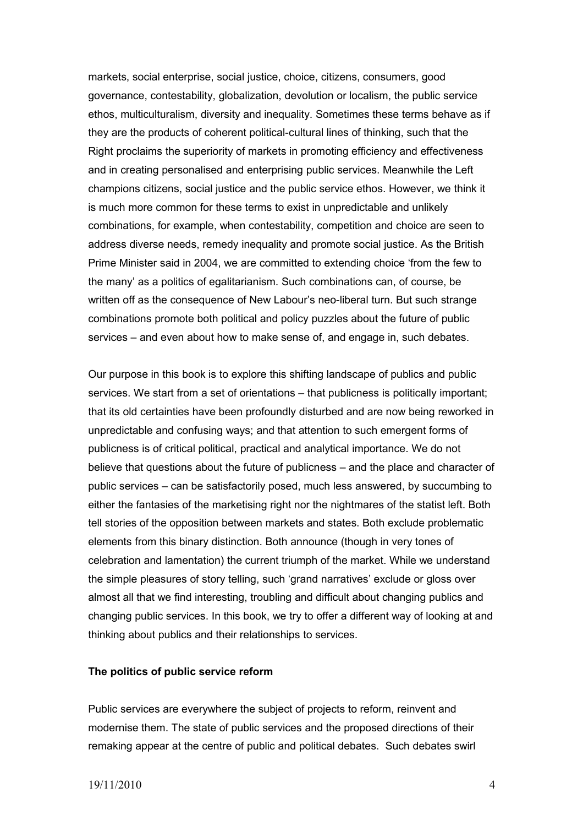markets, social enterprise, social justice, choice, citizens, consumers, good governance, contestability, globalization, devolution or localism, the public service ethos, multiculturalism, diversity and inequality. Sometimes these terms behave as if they are the products of coherent political-cultural lines of thinking, such that the Right proclaims the superiority of markets in promoting efficiency and effectiveness and in creating personalised and enterprising public services. Meanwhile the Left champions citizens, social justice and the public service ethos. However, we think it is much more common for these terms to exist in unpredictable and unlikely combinations, for example, when contestability, competition and choice are seen to address diverse needs, remedy inequality and promote social justice. As the British Prime Minister said in 2004, we are committed to extending choice 'from the few to the many' as a politics of egalitarianism. Such combinations can, of course, be written off as the consequence of New Labour's neo-liberal turn. But such strange combinations promote both political and policy puzzles about the future of public services – and even about how to make sense of, and engage in, such debates.

Our purpose in this book is to explore this shifting landscape of publics and public services. We start from a set of orientations – that publicness is politically important; that its old certainties have been profoundly disturbed and are now being reworked in unpredictable and confusing ways; and that attention to such emergent forms of publicness is of critical political, practical and analytical importance. We do not believe that questions about the future of publicness – and the place and character of public services – can be satisfactorily posed, much less answered, by succumbing to either the fantasies of the marketising right nor the nightmares of the statist left. Both tell stories of the opposition between markets and states. Both exclude problematic elements from this binary distinction. Both announce (though in very tones of celebration and lamentation) the current triumph of the market. While we understand the simple pleasures of story telling, such 'grand narratives' exclude or gloss over almost all that we find interesting, troubling and difficult about changing publics and changing public services. In this book, we try to offer a different way of looking at and thinking about publics and their relationships to services.

#### **The politics of public service reform**

Public services are everywhere the subject of projects to reform, reinvent and modernise them. The state of public services and the proposed directions of their remaking appear at the centre of public and political debates. Such debates swirl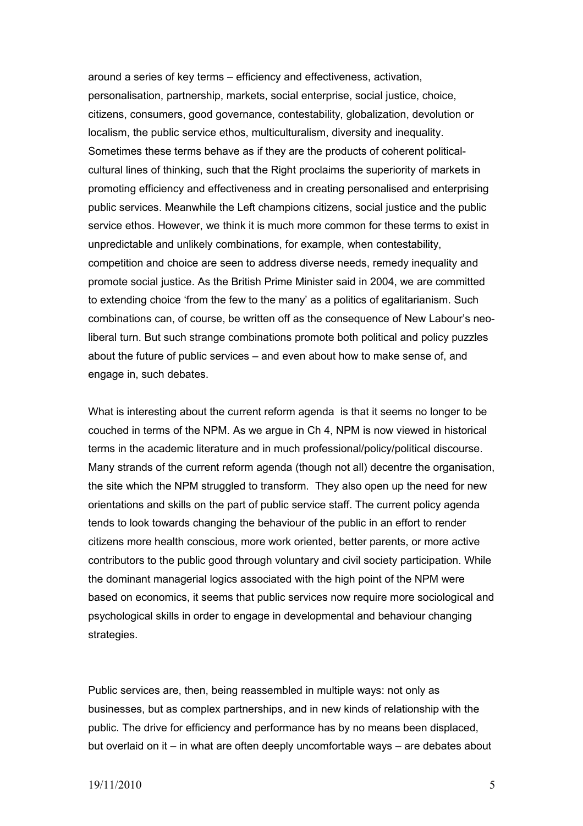around a series of key terms – efficiency and effectiveness, activation, personalisation, partnership, markets, social enterprise, social justice, choice, citizens, consumers, good governance, contestability, globalization, devolution or localism, the public service ethos, multiculturalism, diversity and inequality. Sometimes these terms behave as if they are the products of coherent politicalcultural lines of thinking, such that the Right proclaims the superiority of markets in promoting efficiency and effectiveness and in creating personalised and enterprising public services. Meanwhile the Left champions citizens, social justice and the public service ethos. However, we think it is much more common for these terms to exist in unpredictable and unlikely combinations, for example, when contestability, competition and choice are seen to address diverse needs, remedy inequality and promote social justice. As the British Prime Minister said in 2004, we are committed to extending choice 'from the few to the many' as a politics of egalitarianism. Such combinations can, of course, be written off as the consequence of New Labour's neoliberal turn. But such strange combinations promote both political and policy puzzles about the future of public services – and even about how to make sense of, and engage in, such debates.

What is interesting about the current reform agenda is that it seems no longer to be couched in terms of the NPM. As we argue in Ch 4, NPM is now viewed in historical terms in the academic literature and in much professional/policy/political discourse. Many strands of the current reform agenda (though not all) decentre the organisation, the site which the NPM struggled to transform. They also open up the need for new orientations and skills on the part of public service staff. The current policy agenda tends to look towards changing the behaviour of the public in an effort to render citizens more health conscious, more work oriented, better parents, or more active contributors to the public good through voluntary and civil society participation. While the dominant managerial logics associated with the high point of the NPM were based on economics, it seems that public services now require more sociological and psychological skills in order to engage in developmental and behaviour changing strategies.

Public services are, then, being reassembled in multiple ways: not only as businesses, but as complex partnerships, and in new kinds of relationship with the public. The drive for efficiency and performance has by no means been displaced, but overlaid on it – in what are often deeply uncomfortable ways – are debates about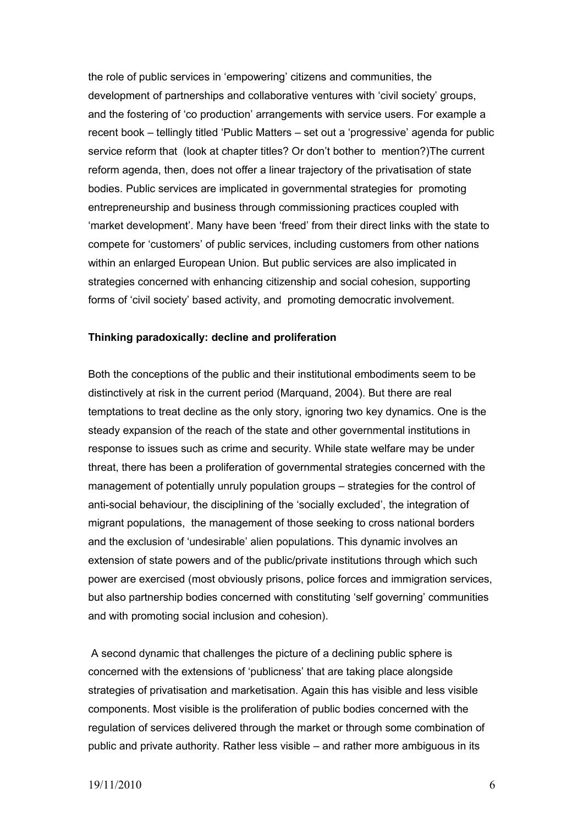the role of public services in 'empowering' citizens and communities, the development of partnerships and collaborative ventures with 'civil society' groups, and the fostering of 'co production' arrangements with service users. For example a recent book – tellingly titled 'Public Matters – set out a 'progressive' agenda for public service reform that (look at chapter titles? Or don't bother to mention?)The current reform agenda, then, does not offer a linear trajectory of the privatisation of state bodies. Public services are implicated in governmental strategies for promoting entrepreneurship and business through commissioning practices coupled with 'market development'. Many have been 'freed' from their direct links with the state to compete for 'customers' of public services, including customers from other nations within an enlarged European Union. But public services are also implicated in strategies concerned with enhancing citizenship and social cohesion, supporting forms of 'civil society' based activity, and promoting democratic involvement.

#### **Thinking paradoxically: decline and proliferation**

Both the conceptions of the public and their institutional embodiments seem to be distinctively at risk in the current period (Marquand, 2004). But there are real temptations to treat decline as the only story, ignoring two key dynamics. One is the steady expansion of the reach of the state and other governmental institutions in response to issues such as crime and security. While state welfare may be under threat, there has been a proliferation of governmental strategies concerned with the management of potentially unruly population groups – strategies for the control of anti-social behaviour, the disciplining of the 'socially excluded', the integration of migrant populations, the management of those seeking to cross national borders and the exclusion of 'undesirable' alien populations. This dynamic involves an extension of state powers and of the public/private institutions through which such power are exercised (most obviously prisons, police forces and immigration services, but also partnership bodies concerned with constituting 'self governing' communities and with promoting social inclusion and cohesion).

 A second dynamic that challenges the picture of a declining public sphere is concerned with the extensions of 'publicness' that are taking place alongside strategies of privatisation and marketisation. Again this has visible and less visible components. Most visible is the proliferation of public bodies concerned with the regulation of services delivered through the market or through some combination of public and private authority. Rather less visible – and rather more ambiguous in its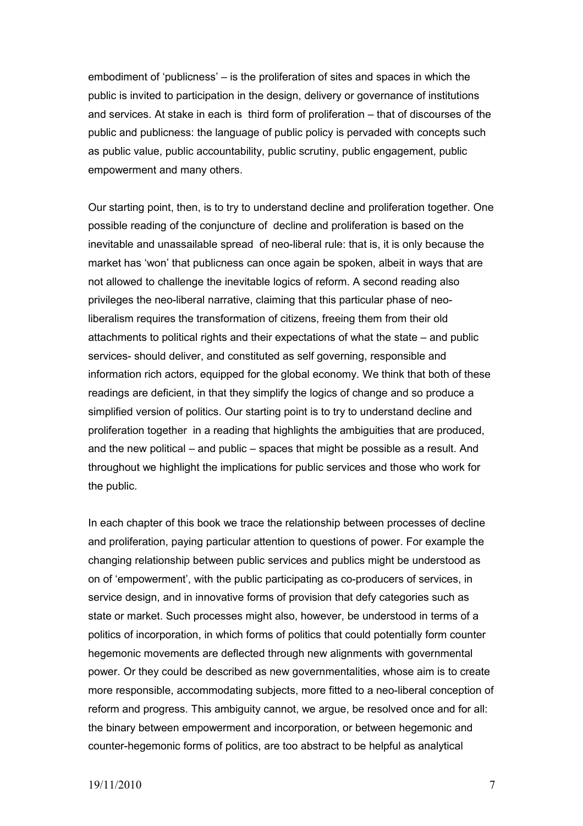embodiment of 'publicness' – is the proliferation of sites and spaces in which the public is invited to participation in the design, delivery or governance of institutions and services. At stake in each is third form of proliferation – that of discourses of the public and publicness: the language of public policy is pervaded with concepts such as public value, public accountability, public scrutiny, public engagement, public empowerment and many others.

Our starting point, then, is to try to understand decline and proliferation together. One possible reading of the conjuncture of decline and proliferation is based on the inevitable and unassailable spread of neo-liberal rule: that is, it is only because the market has 'won' that publicness can once again be spoken, albeit in ways that are not allowed to challenge the inevitable logics of reform. A second reading also privileges the neo-liberal narrative, claiming that this particular phase of neoliberalism requires the transformation of citizens, freeing them from their old attachments to political rights and their expectations of what the state – and public services- should deliver, and constituted as self governing, responsible and information rich actors, equipped for the global economy. We think that both of these readings are deficient, in that they simplify the logics of change and so produce a simplified version of politics. Our starting point is to try to understand decline and proliferation together in a reading that highlights the ambiguities that are produced, and the new political – and public – spaces that might be possible as a result. And throughout we highlight the implications for public services and those who work for the public.

In each chapter of this book we trace the relationship between processes of decline and proliferation, paying particular attention to questions of power. For example the changing relationship between public services and publics might be understood as on of 'empowerment', with the public participating as co-producers of services, in service design, and in innovative forms of provision that defy categories such as state or market. Such processes might also, however, be understood in terms of a politics of incorporation, in which forms of politics that could potentially form counter hegemonic movements are deflected through new alignments with governmental power. Or they could be described as new governmentalities, whose aim is to create more responsible, accommodating subjects, more fitted to a neo-liberal conception of reform and progress. This ambiguity cannot, we argue, be resolved once and for all: the binary between empowerment and incorporation, or between hegemonic and counter-hegemonic forms of politics, are too abstract to be helpful as analytical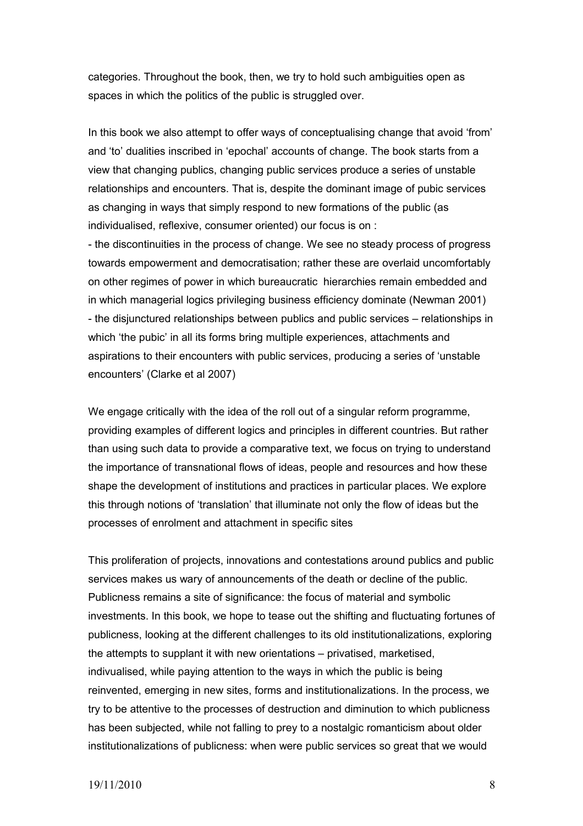categories. Throughout the book, then, we try to hold such ambiguities open as spaces in which the politics of the public is struggled over.

In this book we also attempt to offer ways of conceptualising change that avoid 'from' and 'to' dualities inscribed in 'epochal' accounts of change. The book starts from a view that changing publics, changing public services produce a series of unstable relationships and encounters. That is, despite the dominant image of pubic services as changing in ways that simply respond to new formations of the public (as individualised, reflexive, consumer oriented) our focus is on :

- the discontinuities in the process of change. We see no steady process of progress towards empowerment and democratisation; rather these are overlaid uncomfortably on other regimes of power in which bureaucratic hierarchies remain embedded and in which managerial logics privileging business efficiency dominate (Newman 2001) - the disjunctured relationships between publics and public services – relationships in which 'the pubic' in all its forms bring multiple experiences, attachments and aspirations to their encounters with public services, producing a series of 'unstable encounters' (Clarke et al 2007)

We engage critically with the idea of the roll out of a singular reform programme, providing examples of different logics and principles in different countries. But rather than using such data to provide a comparative text, we focus on trying to understand the importance of transnational flows of ideas, people and resources and how these shape the development of institutions and practices in particular places. We explore this through notions of 'translation' that illuminate not only the flow of ideas but the processes of enrolment and attachment in specific sites

This proliferation of projects, innovations and contestations around publics and public services makes us wary of announcements of the death or decline of the public. Publicness remains a site of significance: the focus of material and symbolic investments. In this book, we hope to tease out the shifting and fluctuating fortunes of publicness, looking at the different challenges to its old institutionalizations, exploring the attempts to supplant it with new orientations – privatised, marketised, indivualised, while paying attention to the ways in which the public is being reinvented, emerging in new sites, forms and institutionalizations. In the process, we try to be attentive to the processes of destruction and diminution to which publicness has been subjected, while not falling to prey to a nostalgic romanticism about older institutionalizations of publicness: when were public services so great that we would

#### 19/11/2010 8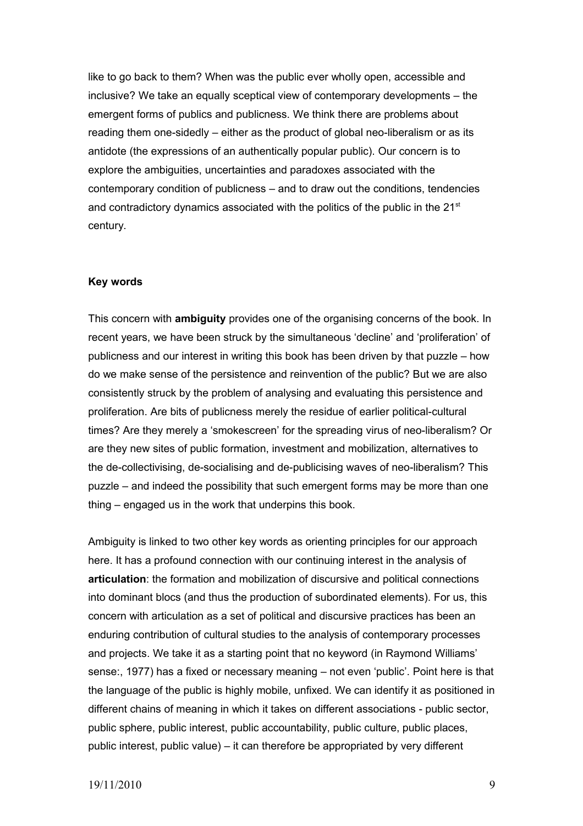like to go back to them? When was the public ever wholly open, accessible and inclusive? We take an equally sceptical view of contemporary developments – the emergent forms of publics and publicness. We think there are problems about reading them one-sidedly – either as the product of global neo-liberalism or as its antidote (the expressions of an authentically popular public). Our concern is to explore the ambiguities, uncertainties and paradoxes associated with the contemporary condition of publicness – and to draw out the conditions, tendencies and contradictory dynamics associated with the politics of the public in the 21<sup>st</sup> century.

#### **Key words**

This concern with **ambiguity** provides one of the organising concerns of the book. In recent years, we have been struck by the simultaneous 'decline' and 'proliferation' of publicness and our interest in writing this book has been driven by that puzzle – how do we make sense of the persistence and reinvention of the public? But we are also consistently struck by the problem of analysing and evaluating this persistence and proliferation. Are bits of publicness merely the residue of earlier political-cultural times? Are they merely a 'smokescreen' for the spreading virus of neo-liberalism? Or are they new sites of public formation, investment and mobilization, alternatives to the de-collectivising, de-socialising and de-publicising waves of neo-liberalism? This puzzle – and indeed the possibility that such emergent forms may be more than one thing – engaged us in the work that underpins this book.

Ambiguity is linked to two other key words as orienting principles for our approach here. It has a profound connection with our continuing interest in the analysis of **articulation**: the formation and mobilization of discursive and political connections into dominant blocs (and thus the production of subordinated elements). For us, this concern with articulation as a set of political and discursive practices has been an enduring contribution of cultural studies to the analysis of contemporary processes and projects. We take it as a starting point that no keyword (in Raymond Williams' sense:, 1977) has a fixed or necessary meaning – not even 'public'. Point here is that the language of the public is highly mobile, unfixed. We can identify it as positioned in different chains of meaning in which it takes on different associations - public sector, public sphere, public interest, public accountability, public culture, public places, public interest, public value) – it can therefore be appropriated by very different